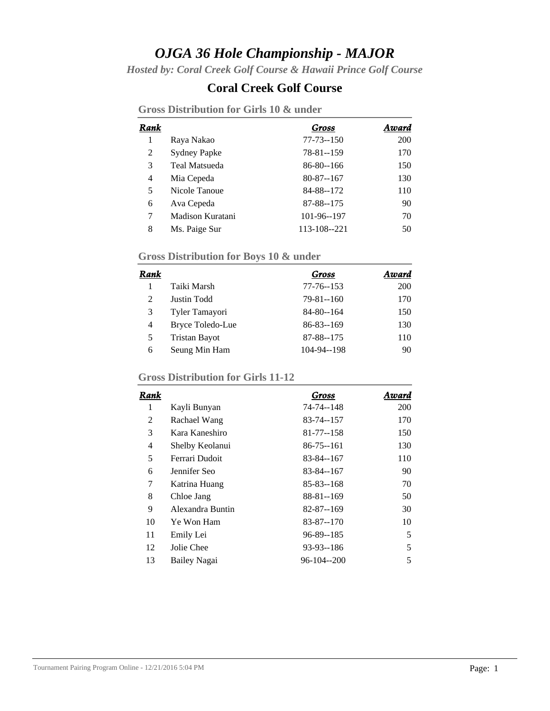## *OJGA 36 Hole Championship - MAJOR*

*Hosted by: Coral Creek Golf Course & Hawaii Prince Golf Course*

### **Coral Creek Golf Course**

|  | <b>Gross Distribution for Girls 10 &amp; under</b> |  |  |  |  |  |
|--|----------------------------------------------------|--|--|--|--|--|
|--|----------------------------------------------------|--|--|--|--|--|

| Rank |                      | Gross           | Award |
|------|----------------------|-----------------|-------|
| 1    | Raya Nakao           | $77 - 73 - 150$ | 200   |
| 2    | <b>Sydney Papke</b>  | 78-81--159      | 170   |
| 3    | <b>Teal Matsueda</b> | 86-80--166      | 150   |
| 4    | Mia Cepeda           | 80-87--167      | 130   |
| 5    | Nicole Tanoue        | 84-88--172      | 110   |
| 6    | Ava Cepeda           | 87-88--175      | 90    |
| 7    | Madison Kuratani     | 101-96--197     | 70    |
| 8    | Ms. Paige Sur        | 113-108--221    | 50    |

# **Gross Distribution for Boys 10 & under**

| Rank |                      | Gross           | Award |
|------|----------------------|-----------------|-------|
|      | Taiki Marsh          | 77-76--153      | 200   |
| 2    | Justin Todd          | $79 - 81 - 160$ | 170   |
| 3    | Tyler Tamayori       | 84-80--164      | 150   |
| 4    | Bryce Toledo-Lue     | $86 - 83 - 169$ | 130   |
| 5    | <b>Tristan Bayot</b> | 87-88--175      | 110   |
| 6    | Seung Min Ham        | 104-94--198     | 90    |

## **Gross Distribution for Girls 11-12**

| Rank           |                     | Gross           | Award |
|----------------|---------------------|-----------------|-------|
| 1              | Kayli Bunyan        | 74-74--148      | 200   |
| 2              | Rachael Wang        | 83-74--157      | 170   |
| 3              | Kara Kaneshiro      | 81-77--158      | 150   |
| $\overline{4}$ | Shelby Keolanui     | $86 - 75 - 161$ | 130   |
| 5              | Ferrari Dudoit      | 83-84--167      | 110   |
| 6              | Jennifer Seo        | 83-84--167      | 90    |
| 7              | Katrina Huang       | $85 - 83 - 168$ | 70    |
| 8              | Chloe Jang          | 88-81--169      | 50    |
| 9              | Alexandra Buntin    | 82-87--169      | 30    |
| 10             | Ye Won Ham          | $83 - 87 - 170$ | 10    |
| 11             | Emily Lei           | 96-89--185      | 5     |
| 12             | Jolie Chee          | 93-93--186      | 5     |
| 13             | <b>Bailey Nagai</b> | 96-104--200     | 5     |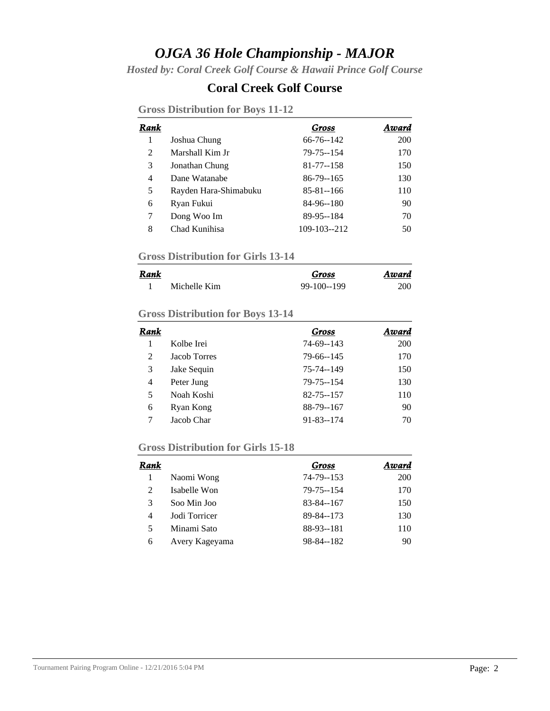## *OJGA 36 Hole Championship - MAJOR*

*Hosted by: Coral Creek Golf Course & Hawaii Prince Golf Course*

### **Coral Creek Golf Course**

| Rank |                       | Gross           | Award |
|------|-----------------------|-----------------|-------|
| 1    | Joshua Chung          | 66-76--142      | 200   |
| 2    | Marshall Kim Jr       | 79-75--154      | 170   |
| 3    | Jonathan Chung        | 81-77--158      | 150   |
| 4    | Dane Watanabe         | 86-79--165      | 130   |
| 5    | Rayden Hara-Shimabuku | $85 - 81 - 166$ | 110   |
| 6    | Ryan Fukui            | 84-96--180      | 90    |
| 7    | Dong Woo Im           | 89-95--184      | 70    |
| 8    | Chad Kunihisa         | 109-103--212    | 50    |

#### **Gross Distribution for Boys 11-12**

#### **Gross Distribution for Girls 13-14**

| <b>Rank</b> |              | Gross        | Award |
|-------------|--------------|--------------|-------|
|             | Michelle Kim | $99-100-199$ | 200   |

#### **Gross Distribution for Boys 13-14**

| Rank |              | Gross           | Award |
|------|--------------|-----------------|-------|
|      | Kolbe Irei   | 74-69--143      | 200   |
| 2    | Jacob Torres | 79-66--145      | 170   |
| 3    | Jake Sequin  | 75-74--149      | 150   |
| 4    | Peter Jung   | 79-75--154      | 130   |
| 5    | Noah Koshi   | 82-75--157      | 110   |
| 6    | Ryan Kong    | 88-79--167      | 90    |
| 7    | Jacob Char   | $91 - 83 - 174$ | 70    |

#### **Gross Distribution for Girls 15-18**

| Rank |                | Gross           | Award      |
|------|----------------|-----------------|------------|
|      | Naomi Wong     | 74-79--153      | <b>200</b> |
| 2    | Isabelle Won   | 79-75--154      | 170        |
| 3    | Soo Min Joo    | $83 - 84 - 167$ | 150        |
| 4    | Jodi Torricer  | 89-84--173      | 130        |
| 5    | Minami Sato    | 88-93--181      | 110        |
| 6    | Avery Kageyama | 98-84--182      | 90         |